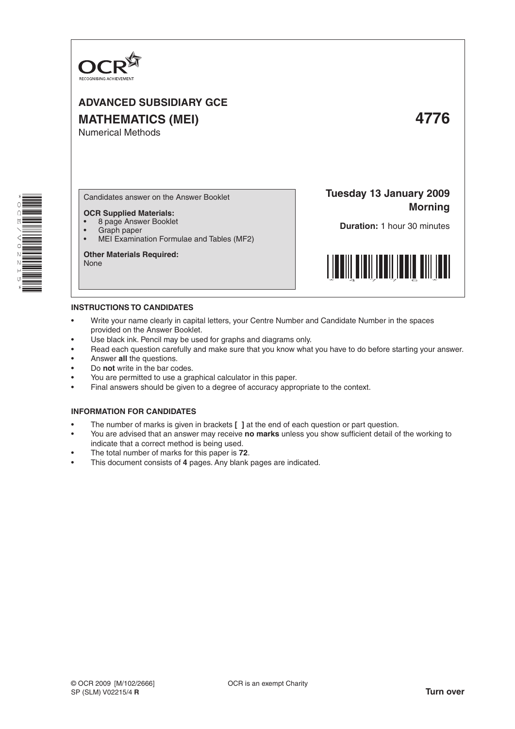

# **ADVANCED SUBSIDIARY GCE MATHEMATICS (MEI) 4776** Numerical Methods

Candidates answer on the Answer Booklet

- **OCR Supplied Materials:**
- 8 page Answer Booklet
- Graph paper<br>• MELExaming
- MEI Examination Formulae and Tables (MF2)

**Other Materials Required:** None

**Tuesday 13 January 2009 Morning**

**Duration:** 1 hour 30 minutes



## **INSTRUCTIONS TO CANDIDATES**

- Write your name clearly in capital letters, your Centre Number and Candidate Number in the spaces provided on the Answer Booklet.
- Use black ink. Pencil may be used for graphs and diagrams only.
- Read each question carefully and make sure that you know what you have to do before starting your answer.
- Answer **all** the questions.
- Do **not** write in the bar codes.
- You are permitted to use a graphical calculator in this paper.
- Final answers should be given to a degree of accuracy appropriate to the context.

#### **INFORMATION FOR CANDIDATES**

- The number of marks is given in brackets **[ ]** at the end of each question or part question.
- You are advised that an answer may receive no marks unless you show sufficient detail of the working to indicate that a correct method is being used.
- The total number of marks for this paper is 72.
- This document consists of 4 pages. Any blank pages are indicated.

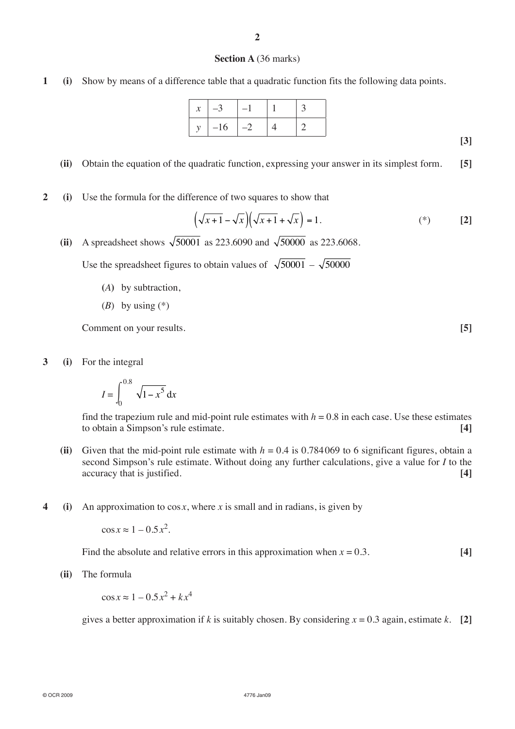### **Section A** (36 marks)

**1 (i)** Show by means of a difference table that a quadratic function fits the following data points.

| $\mathcal{X}$ |       |    |  |
|---------------|-------|----|--|
|               | $-16$ | -2 |  |

**(ii)** Obtain the equation of the quadratic function, expressing your answer in its simplest form. **[5]**

**2 (i)** Use the formula for the difference of two squares to show that

$$
\left(\sqrt{x+1} - \sqrt{x}\right)\left(\sqrt{x+1} + \sqrt{x}\right) = 1.
$$
\n<sup>(\*)</sup> [2]

**(ii)** A spreadsheet shows  $\sqrt{50001}$  as 223.6090 and  $\sqrt{50000}$  as 223.6068.

Use the spreadsheet figures to obtain values of  $\sqrt{50001} - \sqrt{50000}$ 

- **(***A***)** by subtraction,
- (*B*) by using (\*)

**Comment on your results. [5]** 

**3 (i)** For the integral

$$
I = \int_0^{0.8} \sqrt{1 - x^5} \, \mathrm{d}x
$$

find the trapezium rule and mid-point rule estimates with  $h = 0.8$  in each case. Use these estimates to obtain a Simpson's rule estimate. **[4]**

- (ii) Given that the mid-point rule estimate with  $h = 0.4$  is 0.784069 to 6 significant figures, obtain a second Simpson's rule estimate. Without doing any further calculations, give a value for *I* to the accuracy that is justified. **[4] [4]**
- **4 (i)** An approximation to  $\cos x$ , where *x* is small and in radians, is given by

 $\cos x \approx 1 - 0.5 x^2$ .

Find the absolute and relative errors in this approximation when  $x = 0.3$ . [4]

**(ii)** The formula

 $\cos x \approx 1 - 0.5x^2 + kx^4$ 

gives a better approximation if *k* is suitably chosen. By considering  $x = 0.3$  again, estimate *k*. [2]

**[3]**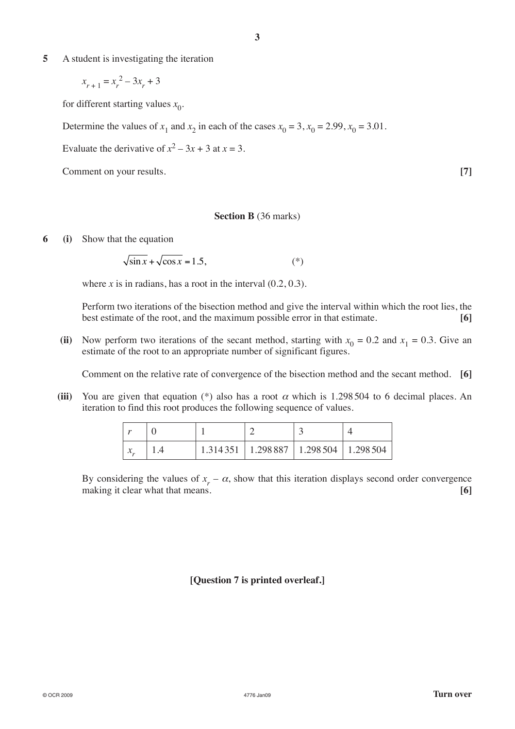**5** A student is investigating the iteration

 $x_{r+1} = x_r^2 - 3x_r + 3$ 

for different starting values  $x_0$ .

Determine the values of  $x_1$  and  $x_2$  in each of the cases  $x_0 = 3$ ,  $x_0 = 2.99$ ,  $x_0 = 3.01$ .

Evaluate the derivative of  $x^2 - 3x + 3$  at  $x = 3$ .

Comment on your results. **[7]**

#### **Section B** (36 marks)

**6 (i)** Show that the equation

 $\sqrt{\sin x} + \sqrt{\cos x} = 1.5,$  (\*)

where *x* is in radians, has a root in the interval  $(0.2, 0.3)$ .

Perform two iterations of the bisection method and give the interval within which the root lies, the best estimate of the root, and the maximum possible error in that estimate. **[6]**

(ii) Now perform two iterations of the secant method, starting with  $x_0 = 0.2$  and  $x_1 = 0.3$ . Give an estimate of the root to an appropriate number of significant figures.

Comment on the relative rate of convergence of the bisection method and the secant method. **[6]**

(iii) You are given that equation  $(*)$  also has a root  $\alpha$  which is 1.298 504 to 6 decimal places. An iteration to find this root produces the following sequence of values.

| $\overline{10}$                      |          |                       |          |
|--------------------------------------|----------|-----------------------|----------|
| $\sim$<br>$\boldsymbol{\mathcal{N}}$ | 1.314351 | 1.298 887   1.298 504 | 1.298504 |

By considering the values of  $x_r - \alpha$ , show that this iteration displays second order convergence making it clear what that means. **[6]**

# **[Question 7 is printed overleaf.]**